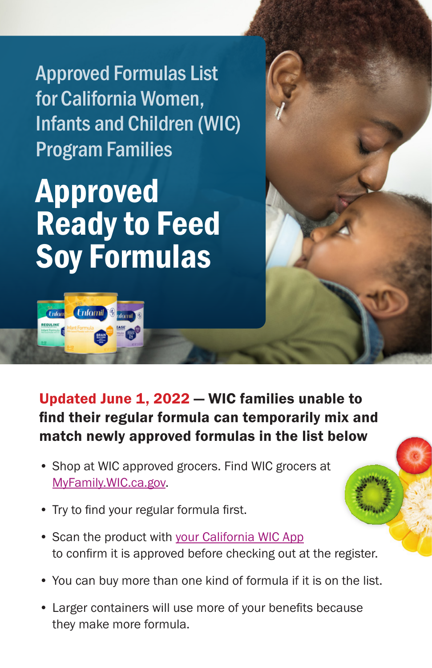Approved Formulas List for California Women, Infants and Children (WIC) Program Families

## Approved Ready to Feed Soy Formulas

Enfomil<sup>®</sup>



- Shop at WIC approved grocers. Find WIC grocers at [MyFamily.WIC.ca.gov.](http://MyFamily.WIC.ca.gov)
- Try to find your regular formula first.
- Scan the product with [your California WIC App](https://www.myfamily.wic.ca.gov/Home/WICApp#WICApp)  to confirm it is approved before checking out at the register.
- You can buy more than one kind of formula if it is on the list.
- Larger containers will use more of your benefits because they make more formula.